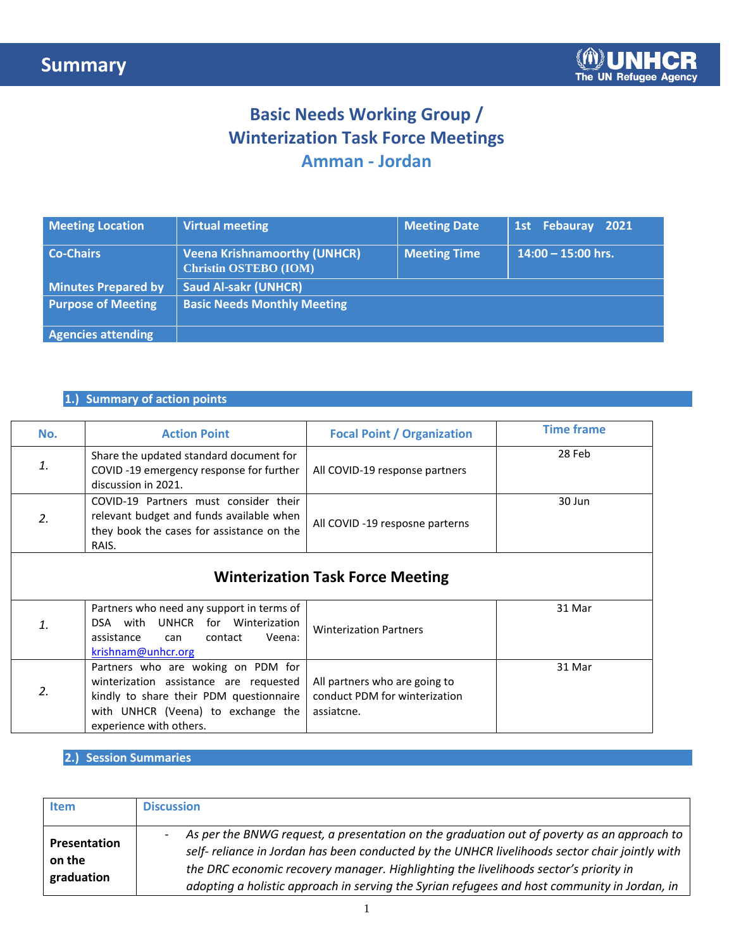## **Basic Needs Working Group / Winterization Task Force Meetings Amman - Jordan**

| <b>Meeting Location</b>    | <b>Virtual meeting</b>                                              | <b>Meeting Date</b> | 1st Febauray 2021    |
|----------------------------|---------------------------------------------------------------------|---------------------|----------------------|
| <b>Co-Chairs</b>           | <b>Veena Krishnamoorthy (UNHCR)</b><br><b>Christin OSTEBO (IOM)</b> | <b>Meeting Time</b> | $14:00 - 15:00$ hrs. |
| <b>Minutes Prepared by</b> | <b>Saud Al-sakr (UNHCR)</b>                                         |                     |                      |
| <b>Purpose of Meeting</b>  | <b>Basic Needs Monthly Meeting</b>                                  |                     |                      |
| <b>Agencies attending</b>  |                                                                     |                     |                      |

### **1.) Summary of action points**

| No.           | <b>Action Point</b>                                                                                                                                                                      | <b>Focal Point / Organization</b>                                            | <b>Time frame</b> |
|---------------|------------------------------------------------------------------------------------------------------------------------------------------------------------------------------------------|------------------------------------------------------------------------------|-------------------|
| 1.            | Share the updated standard document for<br>COVID-19 emergency response for further<br>discussion in 2021.                                                                                | All COVID-19 response partners                                               | 28 Feb            |
| 2.            | COVID-19 Partners must consider their<br>relevant budget and funds available when<br>they book the cases for assistance on the<br>RAIS.                                                  | All COVID -19 resposne parterns                                              | 30 Jun            |
|               |                                                                                                                                                                                          | <b>Winterization Task Force Meeting</b>                                      |                   |
| 1.            | Partners who need any support in terms of<br>DSA with UNHCR for Winterization<br>assistance<br>Veena:<br>contact<br>can<br>krishnam@unhcr.org                                            | <b>Winterization Partners</b>                                                | 31 Mar            |
| $\mathcal{L}$ | Partners who are woking on PDM for<br>winterization assistance are requested<br>kindly to share their PDM questionnaire<br>with UNHCR (Veena) to exchange the<br>experience with others. | All partners who are going to<br>conduct PDM for winterization<br>assiatche. | 31 Mar            |

**2.) Session Summaries**

| <b>Item</b>                          | <b>Discussion</b>                                                                                                                                                                                                                                                                                                                                                                    |
|--------------------------------------|--------------------------------------------------------------------------------------------------------------------------------------------------------------------------------------------------------------------------------------------------------------------------------------------------------------------------------------------------------------------------------------|
| Presentation<br>on the<br>graduation | As per the BNWG request, a presentation on the graduation out of poverty as an approach to<br>self- reliance in Jordan has been conducted by the UNHCR livelihoods sector chair jointly with<br>the DRC economic recovery manager. Highlighting the livelihoods sector's priority in<br>adopting a holistic approach in serving the Syrian refugees and host community in Jordan, in |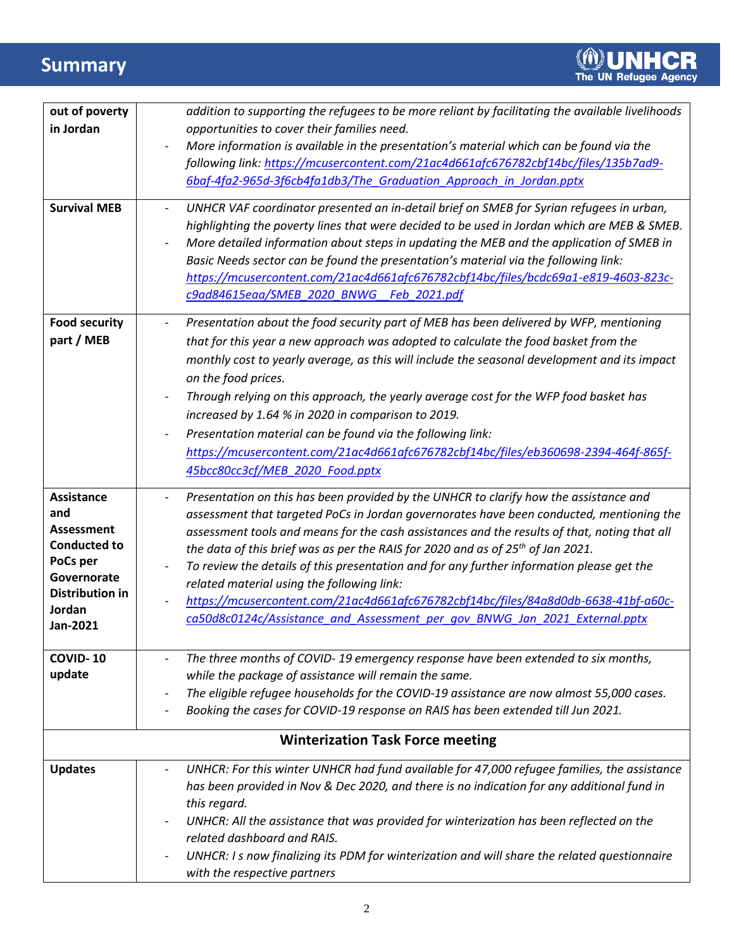# **Summary**

| out of poverty                           | addition to supporting the refugees to be more reliant by facilitating the available livelihoods                                                                                                                    |
|------------------------------------------|---------------------------------------------------------------------------------------------------------------------------------------------------------------------------------------------------------------------|
| in Jordan                                | opportunities to cover their families need.                                                                                                                                                                         |
|                                          | More information is available in the presentation's material which can be found via the                                                                                                                             |
|                                          | following link: https://mcusercontent.com/21ac4d661afc676782cbf14bc/files/135b7ad9-                                                                                                                                 |
|                                          | 6baf-4fa2-965d-3f6cb4fa1db3/The Graduation Approach in Jordan.pptx                                                                                                                                                  |
| <b>Survival MEB</b>                      |                                                                                                                                                                                                                     |
|                                          | UNHCR VAF coordinator presented an in-detail brief on SMEB for Syrian refugees in urban,<br>$\overline{\phantom{a}}$<br>highlighting the poverty lines that were decided to be used in Jordan which are MEB & SMEB. |
|                                          | More detailed information about steps in updating the MEB and the application of SMEB in                                                                                                                            |
|                                          | Basic Needs sector can be found the presentation's material via the following link:                                                                                                                                 |
|                                          | https://mcusercontent.com/21ac4d661afc676782cbf14bc/files/bcdc69a1-e819-4603-823c-                                                                                                                                  |
|                                          | c9ad84615eaa/SMEB 2020 BNWG Feb 2021.pdf                                                                                                                                                                            |
|                                          |                                                                                                                                                                                                                     |
| <b>Food security</b>                     | Presentation about the food security part of MEB has been delivered by WFP, mentioning<br>$\overline{\phantom{a}}$                                                                                                  |
| part / MEB                               | that for this year a new approach was adopted to calculate the food basket from the                                                                                                                                 |
|                                          | monthly cost to yearly average, as this will include the seasonal development and its impact                                                                                                                        |
|                                          | on the food prices.                                                                                                                                                                                                 |
|                                          | Through relying on this approach, the yearly average cost for the WFP food basket has                                                                                                                               |
|                                          | increased by 1.64 % in 2020 in comparison to 2019.                                                                                                                                                                  |
|                                          | Presentation material can be found via the following link:                                                                                                                                                          |
|                                          | https://mcusercontent.com/21ac4d661afc676782cbf14bc/files/eb360698-2394-464f-865f-                                                                                                                                  |
|                                          | 45bcc80cc3cf/MEB 2020 Food.pptx                                                                                                                                                                                     |
| <b>Assistance</b>                        | Presentation on this has been provided by the UNHCR to clarify how the assistance and<br>$\overline{\phantom{a}}$                                                                                                   |
|                                          |                                                                                                                                                                                                                     |
|                                          |                                                                                                                                                                                                                     |
| and                                      | assessment that targeted PoCs in Jordan governorates have been conducted, mentioning the                                                                                                                            |
| <b>Assessment</b><br><b>Conducted to</b> | assessment tools and means for the cash assistances and the results of that, noting that all                                                                                                                        |
| PoCs per                                 | the data of this brief was as per the RAIS for 2020 and as of $25th$ of Jan 2021.                                                                                                                                   |
| Governorate                              | To review the details of this presentation and for any further information please get the                                                                                                                           |
| <b>Distribution in</b>                   | related material using the following link:                                                                                                                                                                          |
| Jordan                                   | https://mcusercontent.com/21ac4d661afc676782cbf14bc/files/84a8d0db-6638-41bf-a60c-                                                                                                                                  |
| Jan-2021                                 | ca50d8c0124c/Assistance and Assessment per gov BNWG Jan 2021 External.pptx                                                                                                                                          |
| <b>COVID-10</b>                          |                                                                                                                                                                                                                     |
|                                          | The three months of COVID-19 emergency response have been extended to six months,                                                                                                                                   |
| update                                   | while the package of assistance will remain the same.                                                                                                                                                               |
|                                          | The eligible refugee households for the COVID-19 assistance are now almost 55,000 cases.<br>Booking the cases for COVID-19 response on RAIS has been extended till Jun 2021.                                        |
|                                          |                                                                                                                                                                                                                     |
|                                          | <b>Winterization Task Force meeting</b>                                                                                                                                                                             |
| <b>Updates</b>                           | UNHCR: For this winter UNHCR had fund available for 47,000 refugee families, the assistance                                                                                                                         |
|                                          | has been provided in Nov & Dec 2020, and there is no indication for any additional fund in                                                                                                                          |
|                                          | this regard.                                                                                                                                                                                                        |
|                                          | UNHCR: All the assistance that was provided for winterization has been reflected on the                                                                                                                             |
|                                          | related dashboard and RAIS.                                                                                                                                                                                         |
|                                          | UNHCR: I s now finalizing its PDM for winterization and will share the related questionnaire                                                                                                                        |